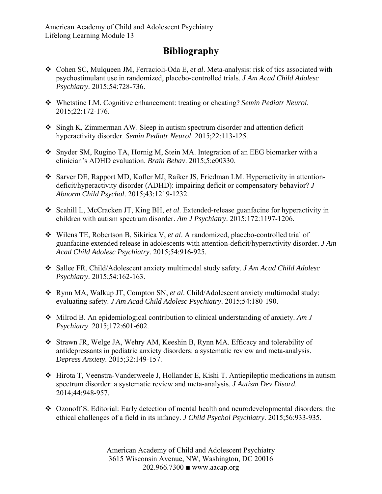## **Bibliography**

- Cohen SC, Mulqueen JM, Ferracioli-Oda E, *et al*. Meta-analysis: risk of tics associated with psychostimulant use in randomized, placebo-controlled trials. *J Am Acad Child Adolesc Psychiatry*. 2015;54:728-736.
- Whetstine LM. Cognitive enhancement: treating or cheating? *Semin Pediatr Neurol*. 2015;22:172-176.
- Singh K, Zimmerman AW. Sleep in autism spectrum disorder and attention deficit hyperactivity disorder. *Semin Pediatr Neurol*. 2015;22:113-125.
- Snyder SM, Rugino TA, Hornig M, Stein MA. Integration of an EEG biomarker with a clinician's ADHD evaluation. *Brain Behav*. 2015;5:e00330.
- Sarver DE, Rapport MD, Kofler MJ, Raiker JS, Friedman LM. Hyperactivity in attentiondeficit/hyperactivity disorder (ADHD): impairing deficit or compensatory behavior? *J Abnorm Child Psychol*. 2015;43:1219-1232.
- Scahill L, McCracken JT, King BH, *et al*. Extended-release guanfacine for hyperactivity in children with autism spectrum disorder. *Am J Psychiatry*. 2015;172:1197-1206.
- Wilens TE, Robertson B, Sikirica V, *et al*. A randomized, placebo-controlled trial of guanfacine extended release in adolescents with attention-deficit/hyperactivity disorder. *J Am Acad Child Adolesc Psychiatry*. 2015;54:916-925.
- Sallee FR. Child/Adolescent anxiety multimodal study safety. *J Am Acad Child Adolesc Psychiatry*. 2015;54:162-163.
- Rynn MA, Walkup JT, Compton SN, *et al*. Child/Adolescent anxiety multimodal study: evaluating safety. *J Am Acad Child Adolesc Psychiatry*. 2015;54:180-190.
- Milrod B. An epidemiological contribution to clinical understanding of anxiety. *Am J Psychiatry*. 2015;172:601-602.
- Strawn JR, Welge JA, Wehry AM, Keeshin B, Rynn MA. Efficacy and tolerability of antidepressants in pediatric anxiety disorders: a systematic review and meta-analysis. *Depress Anxiety*. 2015;32:149-157.
- Hirota T, Veenstra-Vanderweele J, Hollander E, Kishi T. Antiepileptic medications in autism spectrum disorder: a systematic review and meta-analysis. *J Autism Dev Disord*. 2014;44:948-957.
- Ozonoff S. Editorial: Early detection of mental health and neurodevelopmental disorders: the ethical challenges of a field in its infancy. *J Child Psychol Psychiatry*. 2015;56:933-935.

American Academy of Child and Adolescent Psychiatry 3615 Wisconsin Avenue, NW, Washington, DC 20016 202.966.7300 ■ www.aacap.org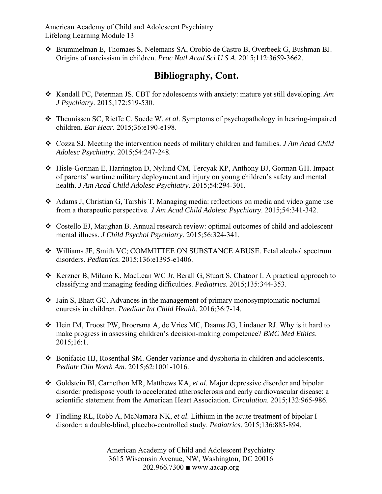American Academy of Child and Adolescent Psychiatry Lifelong Learning Module 13

 Brummelman E, Thomaes S, Nelemans SA, Orobio de Castro B, Overbeek G, Bushman BJ. Origins of narcissism in children. *Proc Natl Acad Sci U S A*. 2015;112:3659-3662.

## **Bibliography, Cont.**

- \* Kendall PC, Peterman JS. CBT for adolescents with anxiety: mature yet still developing. Am *J Psychiatry*. 2015;172:519-530.
- Theunissen SC, Rieffe C, Soede W, *et al*. Symptoms of psychopathology in hearing-impaired children. *Ear Hear*. 2015;36:e190-e198.
- Cozza SJ. Meeting the intervention needs of military children and families. *J Am Acad Child Adolesc Psychiatry*. 2015;54:247-248.
- Hisle-Gorman E, Harrington D, Nylund CM, Tercyak KP, Anthony BJ, Gorman GH. Impact of parents' wartime military deployment and injury on young children's safety and mental health. *J Am Acad Child Adolesc Psychiatry*. 2015;54:294-301.
- Adams J, Christian G, Tarshis T. Managing media: reflections on media and video game use from a therapeutic perspective. *J Am Acad Child Adolesc Psychiatry*. 2015;54:341-342.
- Costello EJ, Maughan B. Annual research review: optimal outcomes of child and adolescent mental illness. *J Child Psychol Psychiatry*. 2015;56:324-341.
- Williams JF, Smith VC; COMMITTEE ON SUBSTANCE ABUSE. Fetal alcohol spectrum disorders. *Pediatrics*. 2015;136:e1395-e1406.
- \* Kerzner B, Milano K, MacLean WC Jr, Berall G, Stuart S, Chatoor I. A practical approach to classifying and managing feeding difficulties. *Pediatrics*. 2015;135:344-353.
- Jain S, Bhatt GC. Advances in the management of primary monosymptomatic nocturnal enuresis in children. *Paediatr Int Child Health*. 2016;36:7-14.
- Hein IM, Troost PW, Broersma A, de Vries MC, Daams JG, Lindauer RJ. Why is it hard to make progress in assessing children's decision-making competence? *BMC Med Ethics*. 2015;16:1.
- Bonifacio HJ, Rosenthal SM. Gender variance and dysphoria in children and adolescents. *Pediatr Clin North Am*. 2015;62:1001-1016.
- Goldstein BI, Carnethon MR, Matthews KA, *et al*. Major depressive disorder and bipolar disorder predispose youth to accelerated atherosclerosis and early cardiovascular disease: a scientific statement from the American Heart Association. *Circulation*. 2015;132:965-986.
- Findling RL, Robb A, McNamara NK, *et al*. Lithium in the acute treatment of bipolar I disorder: a double-blind, placebo-controlled study. *Pediatrics*. 2015;136:885-894.

American Academy of Child and Adolescent Psychiatry 3615 Wisconsin Avenue, NW, Washington, DC 20016 202.966.7300 ■ www.aacap.org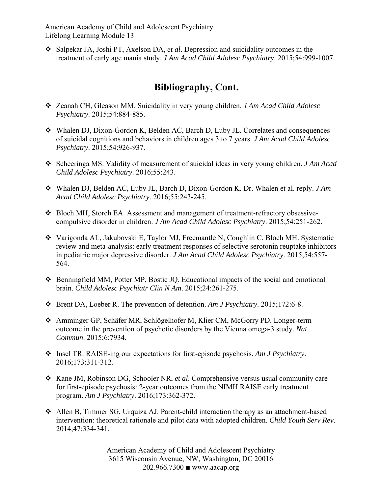American Academy of Child and Adolescent Psychiatry Lifelong Learning Module 13

 Salpekar JA, Joshi PT, Axelson DA, *et al*. Depression and suicidality outcomes in the treatment of early age mania study. *J Am Acad Child Adolesc Psychiatry*. 2015;54:999-1007.

## **Bibliography, Cont.**

- Zeanah CH, Gleason MM. Suicidality in very young children. *J Am Acad Child Adolesc Psychiatry*. 2015;54:884-885.
- Whalen DJ, Dixon-Gordon K, Belden AC, Barch D, Luby JL. Correlates and consequences of suicidal cognitions and behaviors in children ages 3 to 7 years. *J Am Acad Child Adolesc Psychiatry*. 2015;54:926-937.
- Scheeringa MS. Validity of measurement of suicidal ideas in very young children. *J Am Acad Child Adolesc Psychiatry*. 2016;55:243.
- Whalen DJ, Belden AC, Luby JL, Barch D, Dixon-Gordon K. Dr. Whalen et al. reply. *J Am Acad Child Adolesc Psychiatry*. 2016;55:243-245.
- Bloch MH, Storch EA. Assessment and management of treatment-refractory obsessivecompulsive disorder in children. *J Am Acad Child Adolesc Psychiatry*. 2015;54:251-262.
- Varigonda AL, Jakubovski E, Taylor MJ, Freemantle N, Coughlin C, Bloch MH. Systematic review and meta-analysis: early treatment responses of selective serotonin reuptake inhibitors in pediatric major depressive disorder. *J Am Acad Child Adolesc Psychiatry*. 2015;54:557- 564.
- $\triangle$  Benningfield MM, Potter MP, Bostic JQ. Educational impacts of the social and emotional brain. *Child Adolesc Psychiatr Clin N Am*. 2015;24:261-275.
- Brent DA, Loeber R. The prevention of detention. *Am J Psychiatry*. 2015;172:6-8.
- Amminger GP, Schäfer MR, Schlögelhofer M, Klier CM, McGorry PD. Longer-term outcome in the prevention of psychotic disorders by the Vienna omega-3 study. *Nat Commun*. 2015;6:7934.
- Insel TR. RAISE-ing our expectations for first-episode psychosis. *Am J Psychiatry*. 2016;173:311-312.
- Kane JM, Robinson DG, Schooler NR, *et al*. Comprehensive versus usual community care for first-episode psychosis: 2-year outcomes from the NIMH RAISE early treatment program. *Am J Psychiatry*. 2016;173:362-372.
- Allen B, Timmer SG, Urquiza AJ. Parent-child interaction therapy as an attachment-based intervention: theoretical rationale and pilot data with adopted children. *Child Youth Serv Rev*. 2014;47:334-341.

American Academy of Child and Adolescent Psychiatry 3615 Wisconsin Avenue, NW, Washington, DC 20016 202.966.7300 ■ www.aacap.org